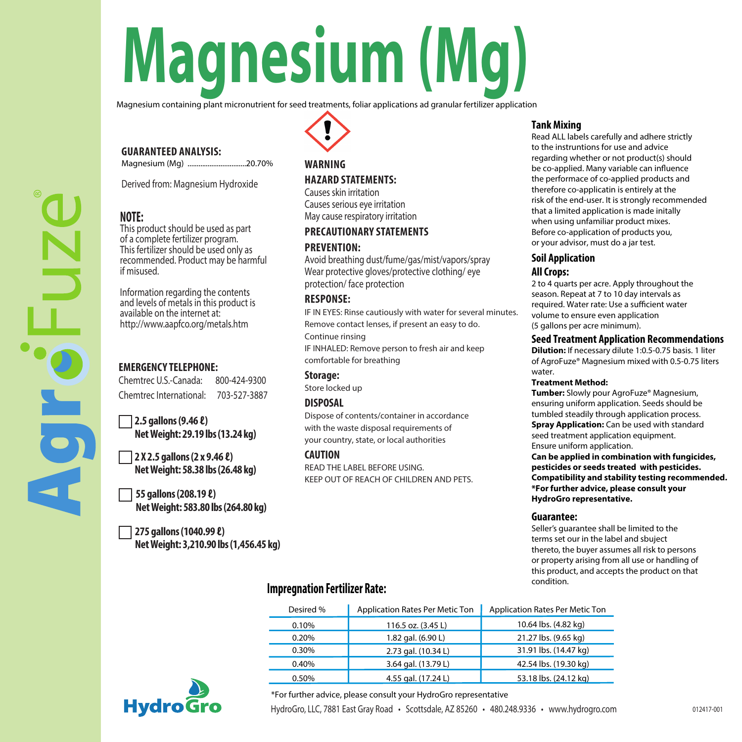# **Magnesium (Mg)**

Magnesium containing plant micronutrient for seed treatments, foliar applications ad granular fertilizer application

# **GUARANTEED ANALYSIS:**

Magnesium (Mg) ................................20.70%

Derived from: Magnesium Hydroxide

# **NOTE:**

This product should be used as part of a complete fertilizer program. This fertilizer should be used only as recommended. Product may be harmful if misused.

Information regarding the contents and levels of metals in this product is available on the internet at: http://www.aapfco.org/metals.htm

# **EMERGENCY TELEPHONE:**

Chemtrec U.S.-Canada: 800-424-9300 Chemtrec International: 703-527-3887

**2.5 gallons (9.46 ℓ) Net Weight: 29.19 lbs (13.24 kg)**

**2 X 2.5 gallons(2 x 9.46 ℓ) Net Weight: 58.38 lbs (26.48 kg)**

**55 gallons(208.19 ℓ) Net Weight: 583.80 lbs (264.80 kg)**

**275 gallons (1040.99 ℓ) Net Weight: 3,210.90 lbs (1,456.45 kg)**

# **WARNING**

# **HAZARD STATEMENTS:**

Causes skin irritation Causes serious eye irritation May cause respiratory irritation

# **PRECAUTIONARY STATEMENTS**

## **PREVENTION:**

Avoid breathing dust/fume/gas/mist/vapors/spray Wear protective gloves/protective clothing/ eye protection/ face protection

### **RESPONSE:**

IF IN EYES: Rinse cautiously with water for several minutes. Remove contact lenses, if present an easy to do. Continue rinsing IF INHALED: Remove person to fresh air and keep

comfortable for breathing

# **Storage:**

Store locked up

# **DISPOSAL**

Dispose of contents/container in accordance with the waste disposal requirements of your country, state, or local authorities

#### **CAUTION**

READ THE LABEL BEFORE USING. KEEP OUT OF REACH OF CHILDREN AND PETS.

#### **Tank Mixing**

Read ALL labels carefully and adhere strictly to the instruntions for use and advice regarding whether or not product(s) should be co-applied. Many variable can influence the performace of co-applied products and therefore co-applicatin is entirely at the risk of the end-user. It is strongly recommended that a limited application is made initally when using unfamiliar product mixes. Before co-application of products you, or your advisor, must do a jar test.

### **Soil Application All Crops:**

2 to 4 quarts per acre. Apply throughout the season. Repeat at 7 to 10 day intervals as required. Water rate: Use a sufficient water volume to ensure even application (5 gallons per acre minimum).

#### **Seed Treatment Application Recommendations**

**Dilution:** If necessary dilute 1:0.5-0.75 basis. 1 liter of AgroFuze® Magnesium mixed with 0.5-0.75 liters water.

#### **Treatment Method:**

**Tumber:** Slowly pour AgroFuze® Magnesium, ensuring uniform application. Seeds should be tumbled steadily through application process. **Spray Application:** Can be used with standard seed treatment application equipment. Ensure uniform application.

**Can be applied in combination with fungicides, pesticides or seeds treated with pesticides. Compatibility and stability testing recommended. \*For further advice, please consult your HydroGro representative.**

#### **Guarantee:**

Seller's guarantee shall be limited to the terms set our in the label and sbuject thereto, the buyer assumes all risk to persons or property arising from all use or handling of this product, and accepts the product on that condition.

# **Impregnation Fertilizer Rate:**

| Desired % | Application Rates Per Metic Ton | Application Rates Per Metic Ton |
|-----------|---------------------------------|---------------------------------|
| 0.10%     | 116.5 oz. (3.45 L)              | 10.64 lbs. (4.82 kg)            |
| 0.20%     | 1.82 gal. (6.90 L)              | 21.27 lbs. (9.65 kg)            |
| 0.30%     | 2.73 gal. (10.34 L)             | 31.91 lbs. (14.47 kg)           |
| 0.40%     | 3.64 gal. (13.79 L)             | 42.54 lbs. (19.30 kg)           |
| 0.50%     | 4.55 gal. (17.24 L)             | 53.18 lbs. (24.12 kg)           |



HydroGro, LLC, 7881 East Gray Road • Scottsdale, AZ 85260 • 480.248.9336 • www.hydrogro.com